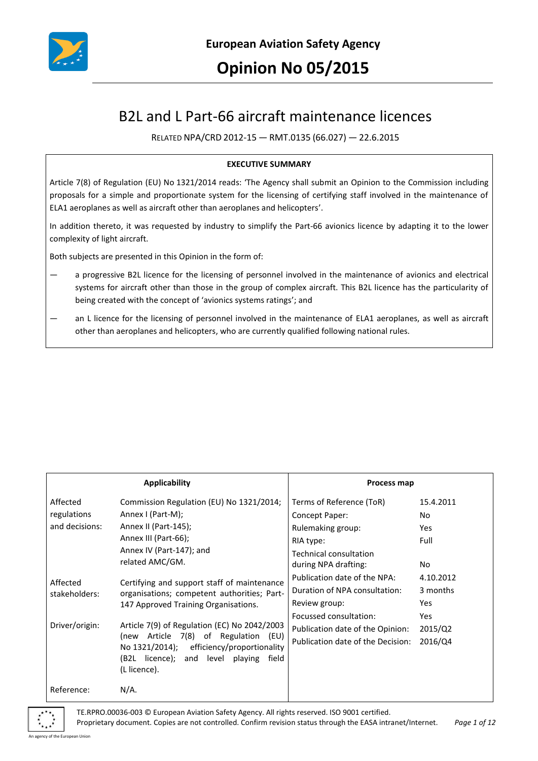

# B2L and L Part-66 aircraft maintenance licences

RELATED NPA/CRD 2012-15 — RMT.0135 (66.027) — 22.6.2015

#### **EXECUTIVE SUMMARY**

Article 7(8) of Regulation (EU) No 1321/2014 reads: 'The Agency shall submit an Opinion to the Commission including proposals for a simple and proportionate system for the licensing of certifying staff involved in the maintenance of ELA1 aeroplanes as well as aircraft other than aeroplanes and helicopters'.

In addition thereto, it was requested by industry to simplify the Part-66 avionics licence by adapting it to the lower complexity of light aircraft.

Both subjects are presented in this Opinion in the form of:

- a progressive B2L licence for the licensing of personnel involved in the maintenance of avionics and electrical systems for aircraft other than those in the group of complex aircraft. This B2L licence has the particularity of being created with the concept of 'avionics systems ratings'; and
- an L licence for the licensing of personnel involved in the maintenance of ELA1 aeroplanes, as well as aircraft other than aeroplanes and helicopters, who are currently qualified following national rules.

| Applicability                               |                                                                                                                                                                                                                                                                                                                                            | Process map                                    |            |
|---------------------------------------------|--------------------------------------------------------------------------------------------------------------------------------------------------------------------------------------------------------------------------------------------------------------------------------------------------------------------------------------------|------------------------------------------------|------------|
| Affected                                    | Commission Regulation (EU) No 1321/2014;                                                                                                                                                                                                                                                                                                   | Terms of Reference (ToR)                       | 15.4.2011  |
| regulations                                 | Annex I (Part-M);                                                                                                                                                                                                                                                                                                                          | Concept Paper:                                 | No.        |
| and decisions:                              | Annex II (Part-145);                                                                                                                                                                                                                                                                                                                       | Rulemaking group:                              | <b>Yes</b> |
|                                             | Annex III (Part-66);<br>Annex IV (Part-147); and<br>related AMC/GM.                                                                                                                                                                                                                                                                        | RIA type:                                      | Full       |
|                                             |                                                                                                                                                                                                                                                                                                                                            | Technical consultation<br>during NPA drafting: | No.        |
| Affected<br>stakeholders:<br>Driver/origin: | Certifying and support staff of maintenance<br>organisations; competent authorities; Part-<br>147 Approved Training Organisations.<br>Article 7(9) of Regulation (EC) No 2042/2003<br>Article 7(8) of Regulation<br>(EU)<br>(new<br>No 1321/2014); efficiency/proportionality<br>(B2L licence); and level playing<br>field<br>(L licence). | Publication date of the NPA:                   | 4.10.2012  |
|                                             |                                                                                                                                                                                                                                                                                                                                            | Duration of NPA consultation:                  | 3 months   |
|                                             |                                                                                                                                                                                                                                                                                                                                            | Review group:                                  | Yes        |
|                                             |                                                                                                                                                                                                                                                                                                                                            | Focussed consultation:                         | <b>Yes</b> |
|                                             |                                                                                                                                                                                                                                                                                                                                            | Publication date of the Opinion:               | 2015/Q2    |
|                                             |                                                                                                                                                                                                                                                                                                                                            | Publication date of the Decision:              | 2016/Q4    |
| Reference:                                  | $N/A$ .                                                                                                                                                                                                                                                                                                                                    |                                                |            |

TE.RPRO.00036-003 © European Aviation Safety Agency. All rights reserved. ISO 9001 certified.

Proprietary document. Copies are not controlled. Confirm revision status through the EASA intranet/Internet. *Page 1 of 12*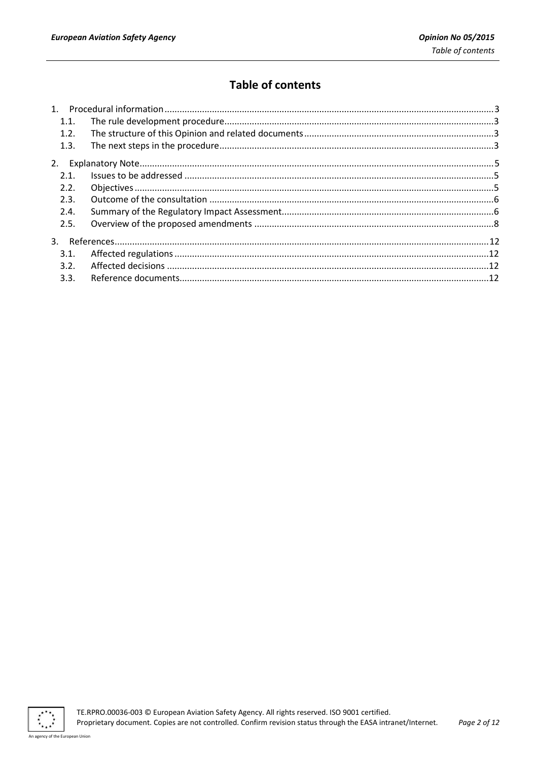# **Table of contents**

| 1.1. |  |
|------|--|
| 1.2. |  |
| 1.3. |  |
|      |  |
| 2.1. |  |
| 2.2. |  |
| 2.3. |  |
| 2.4. |  |
| 2.5. |  |
|      |  |
| 3.1. |  |
| 3.2. |  |
| 3.3. |  |

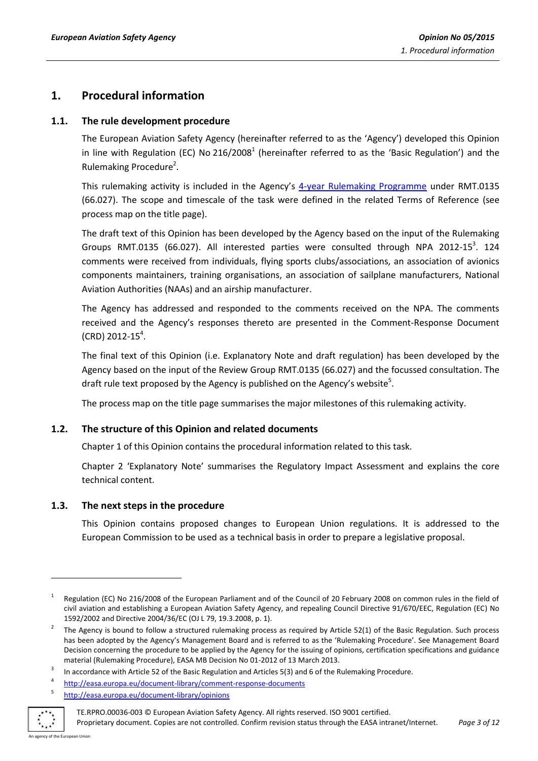# <span id="page-2-0"></span>**1. Procedural information**

#### <span id="page-2-1"></span>**1.1. The rule development procedure**

The European Aviation Safety Agency (hereinafter referred to as the 'Agency') developed this Opinion in line with Regulation (EC) No 216/2008<sup>1</sup> (hereinafter referred to as the 'Basic Regulation') and the Rulemaking Procedure<sup>2</sup>.

This rulemaking activity is included in the Agency's [4-year Rulemaking Programme](http://easa.europa.eu/rulemaking/annual-programme-and-planning.php) under RMT.0135 (66.027). The scope and timescale of the task were defined in the related Terms of Reference (see process map on the title page).

The draft text of this Opinion has been developed by the Agency based on the input of the Rulemaking Groups RMT.0135 (66.027). All interested parties were consulted through NPA 2012-15<sup>3</sup>. 124 comments were received from individuals, flying sports clubs/associations, an association of avionics components maintainers, training organisations, an association of sailplane manufacturers, National Aviation Authorities (NAAs) and an airship manufacturer.

The Agency has addressed and responded to the comments received on the NPA. The comments received and the Agency's responses thereto are presented in the Comment-Response Document  $(CRD)$  2012-15<sup>4</sup>.

The final text of this Opinion (i.e. Explanatory Note and draft regulation) has been developed by the Agency based on the input of the Review Group RMT.0135 (66.027) and the focussed consultation. The draft rule text proposed by the Agency is published on the Agency's website<sup>5</sup>.

The process map on the title page summarises the major milestones of this rulemaking activity.

### <span id="page-2-2"></span>**1.2. The structure of this Opinion and related documents**

Chapter 1 of this Opinion contains the procedural information related to this task.

Chapter 2 'Explanatory Note' summarises the Regulatory Impact Assessment and explains the core technical content.

### <span id="page-2-3"></span>**1.3. The next steps in the procedure**

This Opinion contains proposed changes to European Union regulations. It is addressed to the European Commission to be used as a technical basis in order to prepare a legislative proposal.

<sup>5</sup> <http://easa.europa.eu/document-library/opinions>



-

<sup>1</sup> Regulation (EC) No 216/2008 of the European Parliament and of the Council of 20 February 2008 on common rules in the field of civil aviation and establishing a European Aviation Safety Agency, and repealing Council Directive 91/670/EEC, Regulation (EC) No 1592/2002 and Directive 2004/36/EC (OJ L 79, 19.3.2008, p. 1).

<sup>2</sup> The Agency is bound to follow a structured rulemaking process as required by Article 52(1) of the Basic Regulation. Such process has been adopted by the Agency's Management Board and is referred to as the 'Rulemaking Procedure'. See Management Board Decision concerning the procedure to be applied by the Agency for the issuing of opinions, certification specifications and guidance material (Rulemaking Procedure), EASA MB Decision No 01-2012 of 13 March 2013.

<sup>3</sup> In accordance with Article 52 of the Basic Regulation and Articles 5(3) and 6 of the Rulemaking Procedure.

<sup>4</sup> <http://easa.europa.eu/document-library/comment-response-documents>

TE.RPRO.00036-003 © European Aviation Safety Agency. All rights reserved. ISO 9001 certified.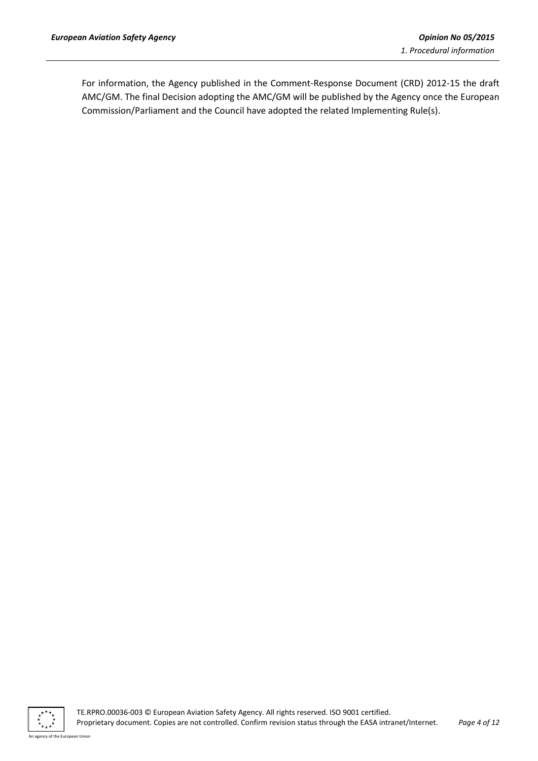For information, the Agency published in the Comment-Response Document (CRD) 2012-15 the draft AMC/GM. The final Decision adopting the AMC/GM will be published by the Agency once the European Commission/Parliament and the Council have adopted the related Implementing Rule(s).

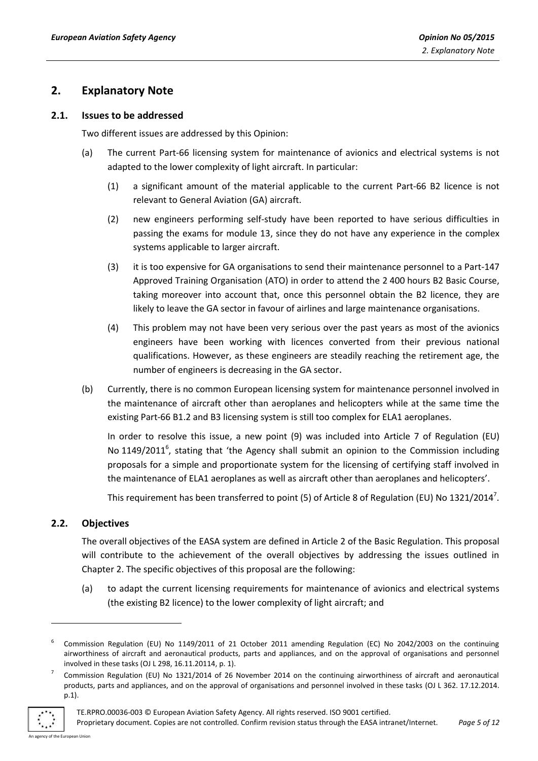# <span id="page-4-0"></span>**2. Explanatory Note**

#### <span id="page-4-1"></span>**2.1. Issues to be addressed**

Two different issues are addressed by this Opinion:

- (a) The current Part-66 licensing system for maintenance of avionics and electrical systems is not adapted to the lower complexity of light aircraft. In particular:
	- (1) a significant amount of the material applicable to the current Part-66 B2 licence is not relevant to General Aviation (GA) aircraft.
	- (2) new engineers performing self-study have been reported to have serious difficulties in passing the exams for module 13, since they do not have any experience in the complex systems applicable to larger aircraft.
	- (3) it is too expensive for GA organisations to send their maintenance personnel to a Part-147 Approved Training Organisation (ATO) in order to attend the 2 400 hours B2 Basic Course, taking moreover into account that, once this personnel obtain the B2 licence, they are likely to leave the GA sector in favour of airlines and large maintenance organisations.
	- (4) This problem may not have been very serious over the past years as most of the avionics engineers have been working with licences converted from their previous national qualifications. However, as these engineers are steadily reaching the retirement age, the number of engineers is decreasing in the GA sector.
- (b) Currently, there is no common European licensing system for maintenance personnel involved in the maintenance of aircraft other than aeroplanes and helicopters while at the same time the existing Part-66 B1.2 and B3 licensing system is still too complex for ELA1 aeroplanes.

In order to resolve this issue, a new point (9) was included into Article 7 of Regulation (EU) No 1149/2011<sup>6</sup>, stating that 'the Agency shall submit an opinion to the Commission including proposals for a simple and proportionate system for the licensing of certifying staff involved in the maintenance of ELA1 aeroplanes as well as aircraft other than aeroplanes and helicopters'.

This requirement has been transferred to point (5) of Article 8 of Regulation (EU) No 1321/2014<sup>7</sup>.

### <span id="page-4-2"></span>**2.2. Objectives**

The overall objectives of the EASA system are defined in Article 2 of the Basic Regulation. This proposal will contribute to the achievement of the overall objectives by addressing the issues outlined in Chapter 2. The specific objectives of this proposal are the following:

(a) to adapt the current licensing requirements for maintenance of avionics and electrical systems (the existing B2 licence) to the lower complexity of light aircraft; and

<sup>7</sup> Commission Regulation (EU) No 1321/2014 of 26 November 2014 on the continuing airworthiness of aircraft and aeronautical products, parts and appliances, and on the approval of organisations and personnel involved in these tasks (OJ L 362. 17.12.2014. p.1).



-

<sup>6</sup> Commission Regulation (EU) No 1149/2011 of 21 October 2011 amending Regulation (EC) No 2042/2003 on the continuing airworthiness of aircraft and aeronautical products, parts and appliances, and on the approval of organisations and personnel involved in these tasks (OJ L 298, 16.11.20114, p. 1).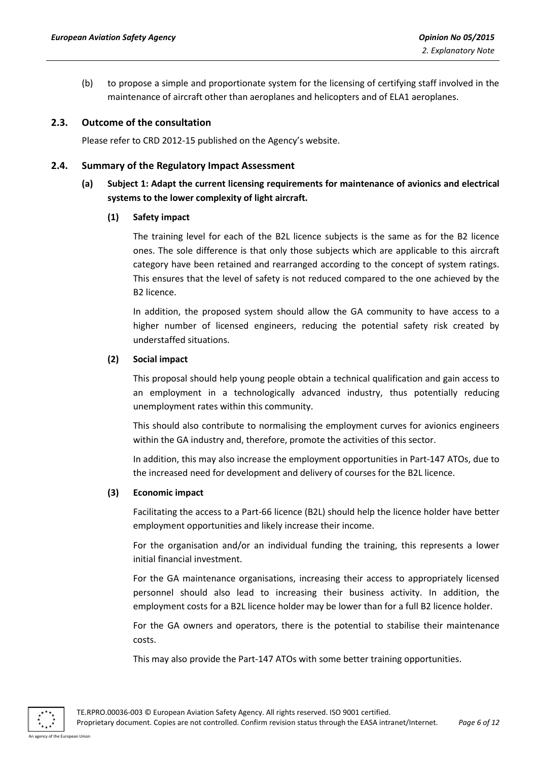(b) to propose a simple and proportionate system for the licensing of certifying staff involved in the maintenance of aircraft other than aeroplanes and helicopters and of ELA1 aeroplanes.

#### <span id="page-5-0"></span>**2.3. Outcome of the consultation**

Please refer to CRD 2012-15 published on the Agency's website.

#### <span id="page-5-1"></span>**2.4. Summary of the Regulatory Impact Assessment**

## **(a) Subject 1: Adapt the current licensing requirements for maintenance of avionics and electrical systems to the lower complexity of light aircraft.**

#### **(1) Safety impact**

The training level for each of the B2L licence subjects is the same as for the B2 licence ones. The sole difference is that only those subjects which are applicable to this aircraft category have been retained and rearranged according to the concept of system ratings. This ensures that the level of safety is not reduced compared to the one achieved by the B2 licence.

In addition, the proposed system should allow the GA community to have access to a higher number of licensed engineers, reducing the potential safety risk created by understaffed situations.

#### **(2) Social impact**

This proposal should help young people obtain a technical qualification and gain access to an employment in a technologically advanced industry, thus potentially reducing unemployment rates within this community.

This should also contribute to normalising the employment curves for avionics engineers within the GA industry and, therefore, promote the activities of this sector.

In addition, this may also increase the employment opportunities in Part-147 ATOs, due to the increased need for development and delivery of courses for the B2L licence.

#### **(3) Economic impact**

Facilitating the access to a Part-66 licence (B2L) should help the licence holder have better employment opportunities and likely increase their income.

For the organisation and/or an individual funding the training, this represents a lower initial financial investment.

For the GA maintenance organisations, increasing their access to appropriately licensed personnel should also lead to increasing their business activity. In addition, the employment costs for a B2L licence holder may be lower than for a full B2 licence holder.

For the GA owners and operators, there is the potential to stabilise their maintenance costs.

This may also provide the Part-147 ATOs with some better training opportunities.

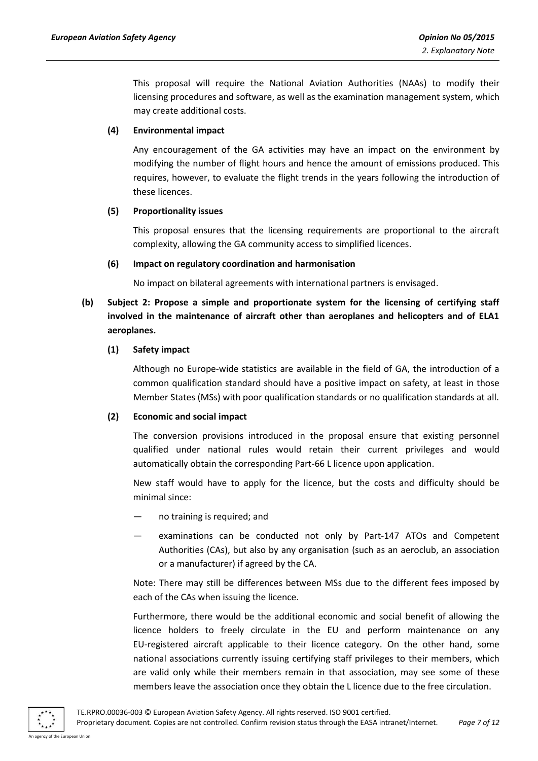This proposal will require the National Aviation Authorities (NAAs) to modify their licensing procedures and software, as well as the examination management system, which may create additional costs.

#### **(4) Environmental impact**

Any encouragement of the GA activities may have an impact on the environment by modifying the number of flight hours and hence the amount of emissions produced. This requires, however, to evaluate the flight trends in the years following the introduction of these licences.

#### **(5) Proportionality issues**

This proposal ensures that the licensing requirements are proportional to the aircraft complexity, allowing the GA community access to simplified licences.

#### **(6) Impact on regulatory coordination and harmonisation**

No impact on bilateral agreements with international partners is envisaged.

# **(b) Subject 2: Propose a simple and proportionate system for the licensing of certifying staff involved in the maintenance of aircraft other than aeroplanes and helicopters and of ELA1 aeroplanes.**

#### **(1) Safety impact**

Although no Europe-wide statistics are available in the field of GA, the introduction of a common qualification standard should have a positive impact on safety, at least in those Member States (MSs) with poor qualification standards or no qualification standards at all.

#### **(2) Economic and social impact**

The conversion provisions introduced in the proposal ensure that existing personnel qualified under national rules would retain their current privileges and would automatically obtain the corresponding Part-66 L licence upon application.

New staff would have to apply for the licence, but the costs and difficulty should be minimal since:

- no training is required; and
- examinations can be conducted not only by Part-147 ATOs and Competent Authorities (CAs), but also by any organisation (such as an aeroclub, an association or a manufacturer) if agreed by the CA.

Note: There may still be differences between MSs due to the different fees imposed by each of the CAs when issuing the licence.

Furthermore, there would be the additional economic and social benefit of allowing the licence holders to freely circulate in the EU and perform maintenance on any EU-registered aircraft applicable to their licence category. On the other hand, some national associations currently issuing certifying staff privileges to their members, which are valid only while their members remain in that association, may see some of these members leave the association once they obtain the L licence due to the free circulation.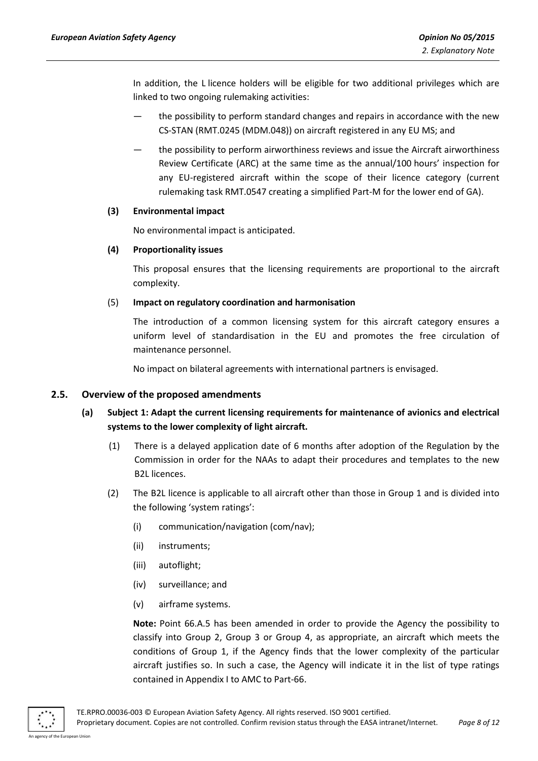In addition, the L licence holders will be eligible for two additional privileges which are linked to two ongoing rulemaking activities:

- the possibility to perform standard changes and repairs in accordance with the new CS-STAN (RMT.0245 (MDM.048)) on aircraft registered in any EU MS; and
- the possibility to perform airworthiness reviews and issue the Aircraft airworthiness Review Certificate (ARC) at the same time as the annual/100 hours' inspection for any EU-registered aircraft within the scope of their licence category (current rulemaking task RMT.0547 creating a simplified Part-M for the lower end of GA).

#### **(3) Environmental impact**

No environmental impact is anticipated.

#### **(4) Proportionality issues**

This proposal ensures that the licensing requirements are proportional to the aircraft complexity.

#### (5) **Impact on regulatory coordination and harmonisation**

The introduction of a common licensing system for this aircraft category ensures a uniform level of standardisation in the EU and promotes the free circulation of maintenance personnel.

No impact on bilateral agreements with international partners is envisaged.

### <span id="page-7-0"></span>**2.5. Overview of the proposed amendments**

# **(a) Subject 1: Adapt the current licensing requirements for maintenance of avionics and electrical systems to the lower complexity of light aircraft.**

- (1) There is a delayed application date of 6 months after adoption of the Regulation by the Commission in order for the NAAs to adapt their procedures and templates to the new B2L licences.
- (2) The B2L licence is applicable to all aircraft other than those in Group 1 and is divided into the following 'system ratings':
	- (i) communication/navigation (com/nav);
	- (ii) instruments;
	- (iii) autoflight;
	- (iv) surveillance; and
	- (v) airframe systems.

**Note:** Point 66.A.5 has been amended in order to provide the Agency the possibility to classify into Group 2, Group 3 or Group 4, as appropriate, an aircraft which meets the conditions of Group 1, if the Agency finds that the lower complexity of the particular aircraft justifies so. In such a case, the Agency will indicate it in the list of type ratings contained in Appendix I to AMC to Part-66.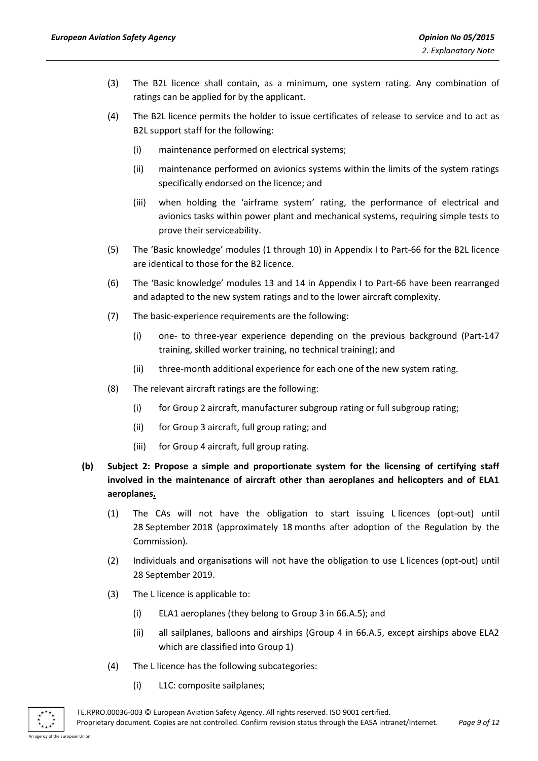- (3) The B2L licence shall contain, as a minimum, one system rating. Any combination of ratings can be applied for by the applicant.
- (4) The B2L licence permits the holder to issue certificates of release to service and to act as B2L support staff for the following:
	- (i) maintenance performed on electrical systems;
	- (ii) maintenance performed on avionics systems within the limits of the system ratings specifically endorsed on the licence; and
	- (iii) when holding the 'airframe system' rating, the performance of electrical and avionics tasks within power plant and mechanical systems, requiring simple tests to prove their serviceability.
- (5) The 'Basic knowledge' modules (1 through 10) in Appendix I to Part-66 for the B2L licence are identical to those for the B2 licence.
- (6) The 'Basic knowledge' modules 13 and 14 in Appendix I to Part-66 have been rearranged and adapted to the new system ratings and to the lower aircraft complexity.
- (7) The basic-experience requirements are the following:
	- (i) one- to three-year experience depending on the previous background (Part-147 training, skilled worker training, no technical training); and
	- (ii) three-month additional experience for each one of the new system rating.
- (8) The relevant aircraft ratings are the following:
	- (i) for Group 2 aircraft, manufacturer subgroup rating or full subgroup rating;
	- (ii) for Group 3 aircraft, full group rating; and
	- (iii) for Group 4 aircraft, full group rating.
- **(b) Subject 2: Propose a simple and proportionate system for the licensing of certifying staff involved in the maintenance of aircraft other than aeroplanes and helicopters and of ELA1 aeroplanes.**
	- (1) The CAs will not have the obligation to start issuing L licences (opt-out) until 28 September 2018 (approximately 18 months after adoption of the Regulation by the Commission).
	- (2) Individuals and organisations will not have the obligation to use L licences (opt-out) until 28 September 2019.
	- (3) The L licence is applicable to:
		- (i) ELA1 aeroplanes (they belong to Group 3 in 66.A.5); and
		- (ii) all sailplanes, balloons and airships (Group 4 in 66.A.5, except airships above ELA2 which are classified into Group 1)
	- (4) The L licence has the following subcategories:
		- (i) L1C: composite sailplanes;

TE.RPRO.00036-003 © European Aviation Safety Agency. All rights reserved. ISO 9001 certified. Proprietary document. Copies are not controlled. Confirm revision status through the EASA intranet/Internet. *Page 9 of 12*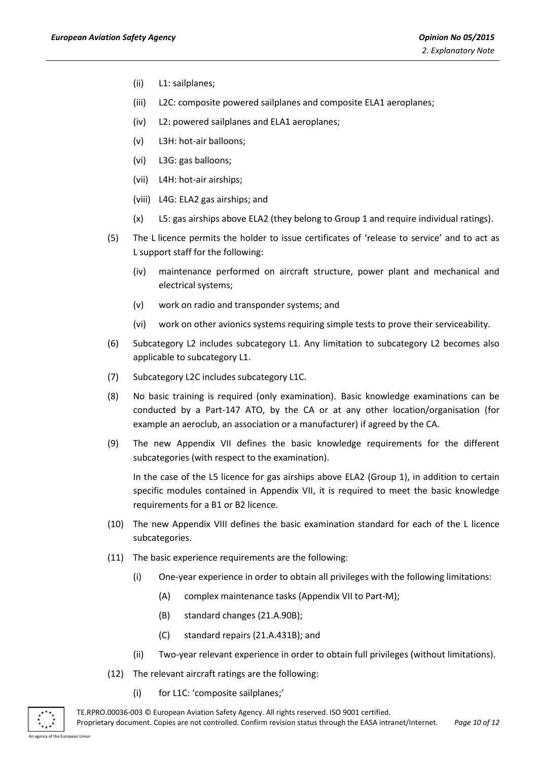- (ii) L1: sailplanes;
- (iii) L2C: composite powered sailplanes and composite ELA1 aeroplanes;
- (iv) L2: powered sailplanes and ELA1 aeroplanes;
- (v) L3H: hot-air balloons;
- (vi) L3G: gas balloons;
- (vii) L4H: hot-air airships;
- (viii) L4G: ELA2 gas airships; and
- (x) L5: gas airships above ELA2 (they belong to Group 1 and require individual ratings).
- (5) The L licence permits the holder to issue certificates of 'release to service' and to act as L support staff for the following:
	- (iv) maintenance performed on aircraft structure, power plant and mechanical and electrical systems;
	- (v) work on radio and transponder systems; and
	- (vi) work on other avionics systems requiring simple tests to prove their serviceability.
- (6) Subcategory L2 includes subcategory L1. Any limitation to subcategory L2 becomes also applicable to subcategory L1.
- (7) Subcategory L2C includes subcategory L1C.
- (8) No basic training is required (only examination). Basic knowledge examinations can be conducted by a Part-147 ATO, by the CA or at any other location/organisation (for example an aeroclub, an association or a manufacturer) if agreed by the CA.
- (9) The new Appendix VII defines the basic knowledge requirements for the different subcategories (with respect to the examination).

In the case of the L5 licence for gas airships above ELA2 (Group 1), in addition to certain specific modules contained in Appendix VII, it is required to meet the basic knowledge requirements for a B1 or B2 licence.

- (10) The new Appendix VIII defines the basic examination standard for each of the L licence subcategories.
- (11) The basic experience requirements are the following:
	- (i) One-year experience in order to obtain all privileges with the following limitations:
		- (A) complex maintenance tasks (Appendix VII to Part-M);
		- (B) standard changes (21.A.90B);
		- (C) standard repairs (21.A.431B); and
	- (ii) Two-year relevant experience in order to obtain full privileges (without limitations).
- (12) The relevant aircraft ratings are the following:
	- (i) for L1C: 'composite sailplanes;'

TE.RPRO.00036-003 © European Aviation Safety Agency. All rights reserved. ISO 9001 certified. Proprietary document. Copies are not controlled. Confirm revision status through the EASA intranet/Internet. *Page 10 of 12*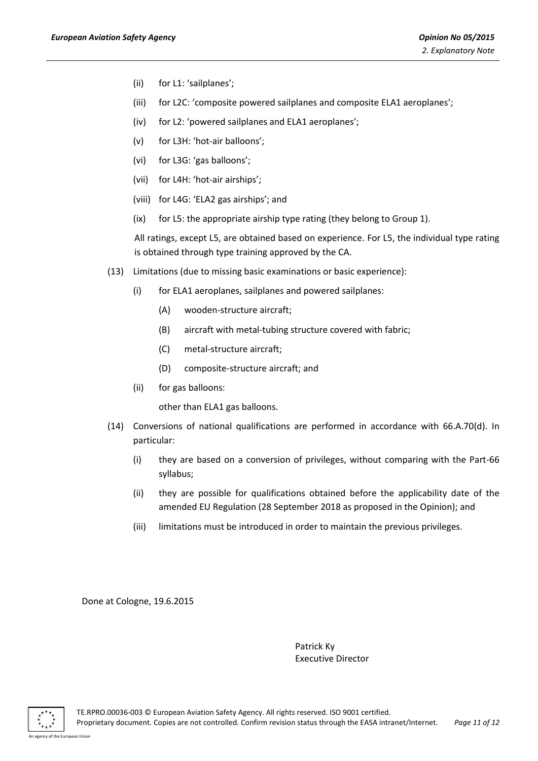- (ii) for L1: 'sailplanes';
- (iii) for L2C: 'composite powered sailplanes and composite ELA1 aeroplanes';
- (iv) for L2: 'powered sailplanes and ELA1 aeroplanes';
- (v) for L3H: 'hot-air balloons';
- (vi) for L3G: 'gas balloons';
- (vii) for L4H: 'hot-air airships';
- (viii) for L4G: 'ELA2 gas airships'; and
- (ix) for L5: the appropriate airship type rating (they belong to Group 1).

All ratings, except L5, are obtained based on experience. For L5, the individual type rating is obtained through type training approved by the CA.

- (13) Limitations (due to missing basic examinations or basic experience):
	- (i) for ELA1 aeroplanes, sailplanes and powered sailplanes:
		- (A) wooden-structure aircraft;
		- (B) aircraft with metal-tubing structure covered with fabric;
		- (C) metal-structure aircraft;
		- (D) composite-structure aircraft; and
	- (ii) for gas balloons:

other than ELA1 gas balloons.

- (14) Conversions of national qualifications are performed in accordance with 66.A.70(d). In particular:
	- (i) they are based on a conversion of privileges, without comparing with the Part-66 syllabus;
	- (ii) they are possible for qualifications obtained before the applicability date of the amended EU Regulation (28 September 2018 as proposed in the Opinion); and
	- (iii) limitations must be introduced in order to maintain the previous privileges.

Done at Cologne, 19.6.2015

Patrick Ky Executive Director